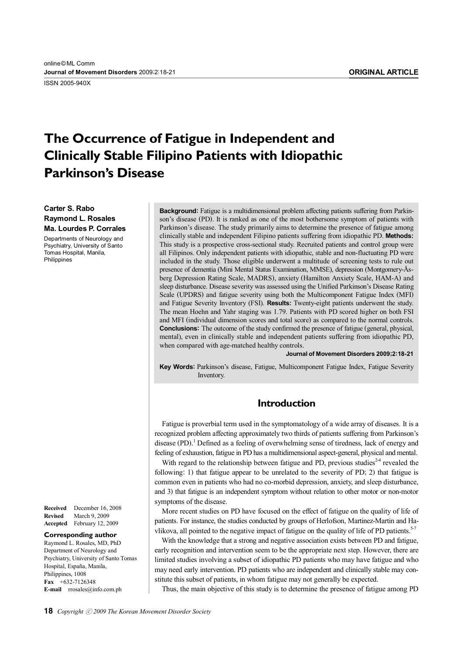ISSN 2005-940X

# **The Occurrence of Fatigue in Independent and Clinically Stable Filipino Patients with Idiopathic Parkinson's Disease**

**Carter S. Rabo Raymond L. Rosales Ma. Lourdes P. Corrales** 

Departments of Neurology and Psychiatry, University of Santo Tomas Hospital, Manila, Philippines

**Received** December 16, 2008 **Revised** March 9, 2009 **Accepted** February 12, 2009

#### **Corresponding author**

Raymond L. Rosales, MD, PhD Department of Neurology and Psychiatry, University of Santo Tomas Hospital, España, Manila, Philippines, 1008 **Fax** +632-7126348 **E-mail** rrosales@info.com.ph

**Background:** Fatigue is a multidimensional problem affecting patients suffering from Parkinson's disease (PD). It is ranked as one of the most bothersome symptom of patients with Parkinson's disease. The study primarily aims to determine the presence of fatigue among clinically stable and independent Filipino patients suffering from idiopathic PD. **Methods:** This study is a prospective cross-sectional study. Recruited patients and control group were all Filipinos. Only independent patients with idiopathic, stable and non-fluctuating PD were included in the study. Those eligible underwent a multitude of screening tests to rule out presence of dementia (Mini Mental Status Examination, MMSE), depression (Montgomery-Åsberg Depression Rating Scale, MADRS), anxiety (Hamilton Anxiety Scale, HAM-A) and sleep disturbance. Disease severity was assessed using the Unified Parkinson's Disease Rating Scale (UPDRS) and fatigue severity using both the Multicomponent Fatigue Index (MFI) and Fatigue Severity Inventory (FSI). **Results:** Twenty-eight patients underwent the study. The mean Hoehn and Yahr staging was 1.79. Patients with PD scored higher on both FSI and MFI (individual dimension scores and total score) as compared to the normal controls. **Conclusions:** The outcome of the study confirmed the presence of fatigue (general, physical, mental), even in clinically stable and independent patients suffering from idiopathic PD, when compared with age-matched healthy controls.

**Journal of Movement Disorders 2009;2:18-21**

**Key Words:** Parkinson's disease, Fatigue, Multicomponent Fatigue Index, Fatigue Severity Inventory.

## **Introduction**

Fatigue is proverbial term used in the symptomatology of a wide array of diseases. It is a recognized problem affecting approximately two thirds of patients suffering from Parkinson's disease (PD). <sup>1</sup> Defined as a feeling of overwhelming sense of tiredness, lack of energy and feeling of exhaustion, fatigue in PD has a multidimensional aspect-general, physical and mental.

With regard to the relationship between fatigue and PD, previous studies<sup>24</sup> revealed the following: 1) that fatigue appear to be unrelated to the severity of PD; 2) that fatigue is common even in patients who had no co-morbid depression, anxiety, and sleep disturbance, and 3) that fatigue is an independent symptom without relation to other motor or non-motor symptoms of the disease.

More recent studies on PD have focused on the effect of fatigue on the quality of life of patients. For instance, the studies conducted by groups of Herlofson, Martinez-Martin and Havlikova, all pointed to the negative impact of fatigue on the quality of life of PD patients.<sup>5-7</sup>

With the knowledge that a strong and negative association exists between PD and fatigue, early recognition and intervention seem to be the appropriate next step. However, there are limited studies involving a subset of idiopathic PD patients who may have fatigue and who may need early intervention. PD patients who are independent and clinically stable may constitute this subset of patients, in whom fatigue may not generally be expected.

Thus, the main objective of this study is to determine the presence of fatigue among PD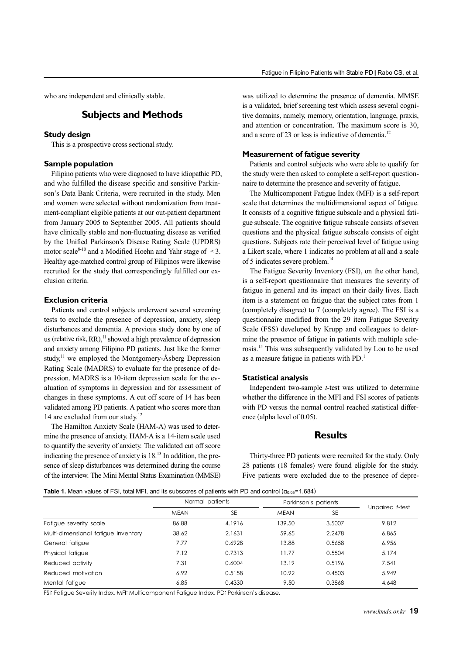who are independent and clinically stable.

# **Subjects and Methods**

#### **Study design**

This is a prospective cross sectional study.

#### **Sample population**

Filipino patients who were diagnosed to have idiopathic PD, and who fulfilled the disease specific and sensitive Parkinson's Data Bank Criteria, were recruited in the study. Men and women were selected without randomization from treatment-compliant eligible patients at our out-patient department from January 2005 to September 2005. All patients should have clinically stable and non-fluctuating disease as verified by the Unified Parkinson's Disease Rating Scale (UPDRS) motor scale<sup>8-10</sup> and a Modified Hoehn and Yahr stage of  $\leq$ 3. Healthy age-matched control group of Filipinos were likewise recruited for the study that correspondingly fulfilled our exclusion criteria.

#### **Exclusion criteria**

Patients and control subjects underwent several screening tests to exclude the presence of depression, anxiety, sleep disturbances and dementia. A previous study done by one of us (relative risk,  $RR$ ),<sup>11</sup> showed a high prevalence of depression and anxiety among Filipino PD patients. Just like the former study, $11$  we employed the Montgomery-Åsberg Depression Rating Scale (MADRS) to evaluate for the presence of depression. MADRS is a 10-item depression scale for the evaluation of symptoms in depression and for assessment of changes in these symptoms. A cut off score of 14 has been validated among PD patients. A patient who scores more than 14 are excluded from our study.<sup>12</sup>

The Hamilton Anxiety Scale (HAM-A) was used to determine the presence of anxiety. HAM-A is a 14-item scale used to quantify the severity of anxiety. The validated cut off score indicating the presence of anxiety is  $18<sup>13</sup>$  In addition, the presence of sleep disturbances was determined during the course of the interview. The Mini Mental Status Examination (MMSE) was utilized to determine the presence of dementia. MMSE is a validated, brief screening test which assess several cognitive domains, namely, memory, orientation, language, praxis, and attention or concentration. The maximum score is 30, and a score of 23 or less is indicative of dementia.<sup>12</sup>

#### **Measurement of fatigue severity**

Patients and control subjects who were able to qualify for the study were then asked to complete a self-report questionnaire to determine the presence and severity of fatigue.

The Multicomponent Fatigue Index (MFI) is a self-report scale that determines the multidimensional aspect of fatigue. It consists of a cognitive fatigue subscale and a physical fatigue subscale. The cognitive fatigue subscale consists of seven questions and the physical fatigue subscale consists of eight questions. Subjects rate their perceived level of fatigue using a Likert scale, where 1 indicates no problem at all and a scale of 5 indicates severe problem.<sup>14</sup>

The Fatigue Severity Inventory (FSI), on the other hand, is a self-report questionnaire that measures the severity of fatigue in general and its impact on their daily lives. Each item is a statement on fatigue that the subject rates from 1 (completely disagree) to 7 (completely agree). The FSI is a questionnaire modified from the 29 item Fatigue Severity Scale (FSS) developed by Krupp and colleagues to determine the presence of fatigue in patients with multiple sclerosis.15 This was subsequently validated by Lou to be used as a measure fatigue in patients with PD.<sup>1</sup>

#### **Statistical analysis**

Independent two-sample *t*-test was utilized to determine whether the difference in the MFI and FSI scores of patients with PD versus the normal control reached statistical difference (alpha level of 0.05).

### **Results**

Thirty-three PD patients were recruited for the study. Only 28 patients (18 females) were found eligible for the study. Five patients were excluded due to the presence of depre-

| <b>Table 1.</b> Mean values of FSI, total MFI, and its subscores of patients with PD and control ( $\alpha_{0.05}$ =1.684) |  |  |
|----------------------------------------------------------------------------------------------------------------------------|--|--|
|----------------------------------------------------------------------------------------------------------------------------|--|--|

|                                     | Normal patients |           | Parkinson's patients |           |                 |
|-------------------------------------|-----------------|-----------|----------------------|-----------|-----------------|
|                                     | <b>MEAN</b>     | <b>SE</b> | <b>MEAN</b>          | <b>SE</b> | Unpaired t-test |
| Fatigue severity scale              | 86.88           | 4.1916    | 139.50               | 3.5007    | 9.812           |
| Multi-dimensional fatigue inventory | 38.62           | 2.1631    | 59.65                | 2.2478    | 6.865           |
| General fatigue                     | 7.77            | 0.6928    | 13.88                | 0.5658    | 6.956           |
| Physical fatigue                    | 7.12            | 0.7313    | 11.77                | 0.5504    | 5.174           |
| Reduced activity                    | 7.31            | 0.6004    | 13.19                | 0.5196    | 7.541           |
| Reduced motivation                  | 6.92            | 0.5158    | 10.92                | 0.4503    | 5.949           |
| Mental fatigue                      | 6.85            | 0.4330    | 9.50                 | 0.3868    | 4.648           |

FSI: Fatigue Severity Index, MFI: Multicomponent Fatigue Index, PD: Parkinson's disease.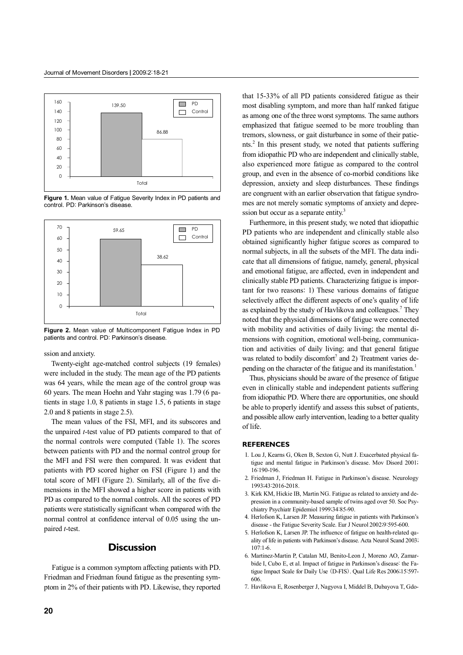

**Figure 1.** Mean value of Fatigue Severity Index in PD patients and control. PD: Parkinson's disease.



**Figure 2.** Mean value of Multicomponent Fatigue Index in PD patients and control. PD: Parkinson's disease.

ssion and anxiety.

Twenty-eight age-matched control subjects (19 females) were included in the study. The mean age of the PD patients was 64 years, while the mean age of the control group was 60 years. The mean Hoehn and Yahr staging was 1.79 (6 patients in stage 1.0, 8 patients in stage 1.5, 6 patients in stage 2.0 and 8 patients in stage 2.5).

The mean values of the FSI, MFI, and its subscores and the unpaired *t*-test value of PD patients compared to that of the normal controls were computed (Table 1). The scores between patients with PD and the normal control group for the MFI and FSI were then compared. It was evident that patients with PD scored higher on FSI (Figure 1) and the total score of MFI (Figure 2). Similarly, all of the five dimensions in the MFI showed a higher score in patients with PD as compared to the normal controls. All the scores of PD patients were statistically significant when compared with the normal control at confidence interval of 0.05 using the unpaired *t*-test.

# **Discussion**

Fatigue is a common symptom affecting patients with PD. Friedman and Friedman found fatigue as the presenting symptom in 2% of their patients with PD. Likewise, they reported that 15-33% of all PD patients considered fatigue as their most disabling symptom, and more than half ranked fatigue as among one of the three worst symptoms. The same authors emphasized that fatigue seemed to be more troubling than tremors, slowness, or gait disturbance in some of their patients.2 In this present study, we noted that patients suffering from idiopathic PD who are independent and clinically stable, also experienced more fatigue as compared to the control group, and even in the absence of co-morbid conditions like depression, anxiety and sleep disturbances. These findings are congruent with an earlier observation that fatigue syndromes are not merely somatic symptoms of anxiety and depression but occur as a separate entity.<sup>3</sup>

Furthermore, in this present study, we noted that idiopathic PD patients who are independent and clinically stable also obtained significantly higher fatigue scores as compared to normal subjects, in all the subsets of the MFI. The data indicate that all dimensions of fatigue, namely, general, physical and emotional fatigue, are affected, even in independent and clinically stable PD patients. Characterizing fatigue is important for two reasons: 1) These various domains of fatigue selectively affect the different aspects of one's quality of life as explained by the study of Havlikova and colleagues.<sup>7</sup> They noted that the physical dimensions of fatigue were connected with mobility and activities of daily living; the mental dimensions with cognition, emotional well-being, communication and activities of daily living; and that general fatigue was related to bodily discomfort<sup>7</sup> and 2) Treatment varies depending on the character of the fatigue and its manifestation.<sup>1</sup>

Thus, physicians should be aware of the presence of fatigue even in clinically stable and independent patients suffering from idiopathic PD. Where there are opportunities, one should be able to properly identify and assess this subset of patients, and possible allow early intervention, leading to a better quality of life.

#### **REFERENCES**

- 1. Lou J, Kearns G, Oken B, Sexton G, Nutt J. Exacerbated physical fatigue and mental fatigue in Parkinson's disease. Mov Disord 2001; 16:190-196.
- 2. Friedman J, Friedman H. Fatigue in Parkinson's disease. Neurology 1993;43:2016-2018.
- 3. Kirk KM, Hickie IB, Martin NG. Fatigue as related to anxiety and depression in a community-based sample of twins aged over 50. Soc Psychiatry Psychiatr Epidemiol 1999;34:85-90.
- 4. Herlofson K, Larsen JP. Measuring fatigue in patients with Parkinson's disease - the Fatigue Severity Scale. Eur J Neurol 2002;9:595-600.
- 5. Herlofson K, Larsen JP. The influence of fatigue on health-related quality of life in patients with Parkinson's disease. Acta Neurol Scand 2003; 107:1-6.
- 6. Martinez-Martin P, Catalan MJ, Benito-Leon J, Moreno AO, Zamarbide I, Cubo E, et al. Impact of fatigue in Parkinson's disease: the Fatigue Impact Scale for Daily Use (D-FIS). Qual Life Res 2006;15:597- 606.
- 7. Havlikova E, Rosenberger J, Nagyova I, Middel B, Dubayova T, Gdo-